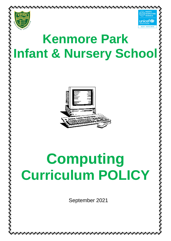



# **Kenmore Park Infant & Nursery School**



# **Computing Curriculum POLICY**

September 2021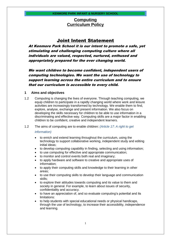## **Computing Curriculum Policy**

## Joint Intent Statement

At Kenmore Park School it is our intent to promote a safe, yet stimulating and challenging computing culture where all individuals are valued, respected, nurtured, enthused and appropriately prepared for the ever changing world.

We want children to become confident, independent users of computing technologies. We want the use of technology to support learning across the entire curriculum and to ensure that our curriculum is accessible to every child.

#### **1 Aims and objectives**

- 1.2 Computing is changing the lives of everyone. Through teaching computing, we equip children to participate in a rapidly changing world where work and leisure activities are increasingly transformed by technology. We enable them to find, explore, analyse, exchange and present information. We also focus on developing the skills necessary for children to be able to use information in a discriminating and effective way. Computing skills are a major factor in enabling children to be confident, creative and independent learners.
- 1.2 The aims of computing are to enable children: *(Article 17: A right to get*

#### *information)*

- to enrich and extend learning throughout the curriculum, using the technology to support collaborative working, independent study and editing initial ideas;
- to develop computing capability in finding, selecting and using information;
- to use computing for effective and appropriate communication;
- to monitor and control events both real and imaginary;
- to apply hardware and software to creative and appropriate uses of information;
- to apply their computing skills and knowledge to their learning in other areas;
- to use their computing skills to develop their language and communication skills;
- to explore their attitudes towards computing and its value to them and society in general. For example, to learn about issues of security, confidentiality and accuracy.
- to have an appreciation of, and so evaluate computing's potential and its limitations:
- to help students with special educational needs or physical handicaps, through the use of technology, to increase their accessibility, independence and learning.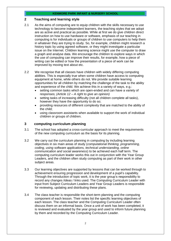#### **2 Teaching and learning style**

- 2.1 As the aims of computing are to equip children with the skills necessary to use technology to become independent learners, the teaching styles that we adopt are as active and practical as possible. While at first we do give children direct instruction on how to use hardware or software, emphasis of our teaching in computing is for individuals or groups of children to use computers to help them in whatever they are trying to study. So, for example, children might research a history topic by using agreed software, or they might investigate a particular issue on the Internet. Children learning science might use the computer to draw a graph and analyse data. We encourage the children to explore ways in which the use of computing can improve their results, for example, how a piece of writing can be edited or how the presentation of a piece of work can be improved by moving text about etc.
- 2.2 We recognise that all classes have children with widely differing computing abilities. This is especially true when some children have access to computing equipment at home, while others do not. We provide suitable learning opportunities for all children by matching the challenge of the task to the ability and experience of the child. We achieve this in a variety of ways, e.g.:
	- setting common tasks which are open-ended and can have a variety of responses; *(Article 12 – A right to give an opinion)*
	- setting tasks of increasing difficulty (not all children complete all tasks), however they have the opportunity to do so;
	- providing resources of different complexity that are matched to the ability of the child;
	- using classroom assistants when available to support the work of individual children or groups of children.

#### **3 computing curriculum planning**

- 3.1 The school has adopted a cross-curricular approach to meet the requirements of the new computing curriculum as the basis for its planning.
- 3.2 We carry out the curriculum planning in computing by including learning objectives in six main areas of study (*computational thinking, programming, coding, using software applications, technical understanding, online communication and social awareness*) to be achieved each half term. The computing curriculum leader works this out in conjunction with the Year Group Leaders, and the children often study computing as part of their work in other subject areas.
- 3.3 Our learning objectives are supported by lessons that can be worked through to achievement ensuring progression and development of a pupil's capability. Through the introduction of topic work, it is the year group's responsibility to record any changes /ideas / links used. The Computing Curriculum Leader with input from Subject Curriculum Leaders and Year Group Leaders is responsible for reviewing, updating and distributing these plans.
- 3.4 The class teacher is responsible the short-term planning and the computing component of each lesson. Their notes list the specific learning objectives of each lesson. The class teacher and the Computing Curriculum Leader often discuss them on an informal basis. Once a unit of work has been completed, it is reviewed and evaluated by the year group and used to inform future planning by them and recorded by the Computing Curriculum Leader.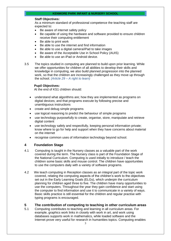#### **Staff Objectives:**

As a minimum standard of professional competence the teaching staff are expected to:

- Be aware of internet safety policy
- Be capable of using the hardware and software provided to ensure children receive their computing entitlement
- Be able to print work
- Be able to use the internet and find information
- Be able to use a digital camera/iPad to take images
- Be aware of the Acceptable Use in School Policy (AUIS)
- Be able to use an iPad or Android device.
- 3.5 The topics studied in computing are planned to build upon prior learning. While we offer opportunities for children of all abilities to develop their skills and knowledge in computing, we also build planned progression into the planned work, so that the children are increasingly challenged as they move up through the school. *(Article 29 – A right to learn)*

#### **Pupil Objectives:**

At the end of KS1 children should:

- understand what algorithms are; how they are implemented as programs on digital devices; and that programs execute by following precise and unambiguous instructions
- create and debug simple programs
- use logical reasoning to predict the behaviour of simple programs
- use technology purposefully to create, organise, store, manipulate and retrieve digital content
- use technology safely and respectfully, keeping personal information private; know where to go for help and support when they have concerns about material on the internet
- recognise common uses of information technology beyond school.

#### **4 Foundation Stage**

- 4.1 Computing is taught in the Nursery classes as a valuable part of the work covered during the term. The Nursery class is part of the Foundation Stage of the National Curriculum. Computing is used initially to introduce / teach the children some basic skills and mouse control. The children have opportunities to use the computers daily with a variety of software programs.
- 4.2 We teach computing in Reception classes as an integral part of the topic work covered, relating the computing aspects of the children's work to the objectives set out in the Early Learning Goals (ELGs), which underpin the curriculum planning for children aged three to five. The children have many opportunities to use the computers. Throughout the year they gain confidence and start using the computer to find information and use it to communicate in a variety of ways. Basic skills practice is still essential for the children and regular practise with typing programs is encouraged.

#### **5 The contribution of computing to teaching in other curriculum areas**

5.1 Computing contributes to teaching and learning in all curriculum areas. For example, graphics work links in closely with work in art, and work using databases supports work in mathematics, while loaded software and the Internet prove very useful for research in humanities topics. Computing enables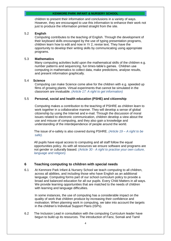children to present their information and conclusions in a variety of ways. However, they are encouraged to use this information to enhance their work not just to produce the information printed straight from the site.

#### 5.2 **English**

Computing contributes to the teaching of English. Through the development of their keyboard skills encouraged by the use of typing presentation programs, children learn how to edit and now in Yr 2, revise text. They have the opportunity to develop their writing skills by communicating using appropriate programs.

#### 5.3 **Mathematics**

Many computing activities build upon the mathematical skills of the children e.g. number patterns and sequencing, fun times-table's games. Children use computing in mathematics to collect data, make predictions, analyse results, and present information graphically.

#### 5.4 **Science**

Computing can make Science come alive for the children with e.g. speeded up films of growing plants. Virtual experiments that cannot be simulated in the classroom are invaluable. *(Article 17: A right to get information)*

#### 5.5 **Personal, social and health education (PSHE) and citizenship**

Computing makes a contribution to the teaching of PSHRE as children learn to work together in a collaborative manner. They will develop a sense of global citizenship by using the Internet and e-mail. Through the discussion of moral issues related to electronic communication, children develop a view about the use and misuse of computing, and they also gain a knowledge and understanding of the interdependence of people around the world.

The issue of e-safety is also covered during PSHRE. *(Article 19 – A right to be safe).*

All pupils have equal access to computing and all staff follow the equal opportunities policy. As with all resources we ensure software and programs are not gender or culturally biased. *(Article 30 - A right to practise your own culture, language and religion).*

#### **6 Teaching computing to children with special needs**

6.1 At Kenmore Park Infant & Nursery School we teach computing to all children, across all abilities, and including those who have English as an additional language. Computing forms part of our school curriculum policy to provide a broad and balanced education for all our pupils. Every Child Matters in all ways. We provide learning opportunities that are matched to the needs of children with learning and language difficulties.

In some instances, the use of computing has a considerable impact on the quality of work that children produce by increasing their confidence and motivation. When planning work in computing, we take into account the targets in the children's Individual Support Plans (ISPs).

6.2 The Inclusion Lead in consultation with the computing Curriculum leader have begun to build up its resources. The introduction of Farsi, Somali and Tamil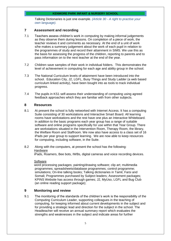Talking Dictionaries is just one example. *(Article 30 - A right to practise your own language).*

#### **7 Assessment and recording**

- 7.1 Teachers assess children's work in computing by making informal judgements as they observe them during lessons. On completion of a piece of work, the teacher reviews it and comments as necessary. At the end of a unit of work s/he makes a summary judgement about the work of each pupil in relation to the programmes of study and record their attainment in SIMS. We use this as the basis for assessing the progress of the children, reporting to parents and to pass information on to the next teacher at the end of the year.
- 7.2 Children save samples of their work in individual folders. This demonstrates the level of achievement in computing for each age and ability group in the school.
- 7.3 The National Curriculum levels of attainment have been introduced into the school. Education City, J2, LGFL, Busy Things and Study Ladder (a web based curriculum linked activity), have been bought into as tools to track individual progress.
- 7.4 The pupils in KS1 self-assess their understanding of computing using agreed feedback approaches which they are familiar with from other subjects.

#### **8 Resources**

- 8.1 At present the school is fully networked with Internet Access. It has a computing Suite consisting of 30 workstations and Interactive Smart Board. All learning rooms have workstations and the rest have one plus an Interactive Whiteboard. In addition to the basic programs each year group has a range of suitable software and online programs specifically for use within that Year Group. There are workstations situated in the Intervention Room, Therapy Room, the library, the Welfare Room and Staffroom. We now also have access to a class set of 16 iPads per year group to support learning. We are now able to keep resources for computing, including software, in the Suite.
- 8.2 Along with the computers, at present the school has the following: **Hardware**

iPads, Roamers, Bee bots, IWBs, digital cameras and voice recording devices.

#### **Software**

word processing packages; painting/drawing software; clip art; multimedia programmes; spreadsheets/database programmes; control programme; simulations; On-line talking books; Talking dictionaries in Tamil, Farsi and Somali; Programmes purchased by Subject leaders; Assessment packages; KPINS Website has access through games; J2, MyUso, LGFL and Bug Club (an online reading support package);

#### **9 Monitoring and review**

9.1 The monitoring of the standards of the children's work is the responsibility of the Computing Curriculum Leader, supporting colleagues in the teaching of computing, for keeping informed about current developments in the subject and for providing a strategic lead and direction for the subject in the school. The Headteacher will receive an annual summary report which evaluates the strengths and weaknesses in the subject and indicate areas for further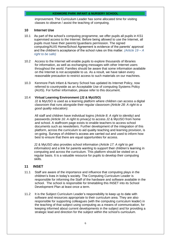improvement. The Curriculum Leader has some allocated time for visiting classes to observe / assist the teaching of computing.

#### **10 Internet Use**

- 10.1 As part of the school's computing programme, we offer pupils all pupils in KS1 supervised access to the Internet. Before being allowed to use the Internet, all pupils must have their parents'/guardians permission. The signed computing/AUIS Home/School Agreement is evidence of the parents' approval and the children's acceptance of the school rules on this matter. *(Article 19 – A right to be safe)*
- 10.2 Access to the Internet will enable pupils to explore thousands of libraries for information, as well as exchanging messages with other Internet users throughout the world. Families should be aware that some information available on the Internet is not acceptable to us. As a result, we have taken every reasonable precaution to restrict access to such materials on our machines.
- 10.3 Kenmore Park Infant & Nursery School has updated its Internet Policy, now referred to countrywide as an Acceptable Use of computing Systems Policy (AUIS). For further information, please refer to this document.

#### 10.4 **Virtual Learning Environment (J2 & MyUSO)**

J2 & MyUSO is used as a learning platform where children can access a digital classroom that runs alongside their regular classroom *(Article 28: A right to a good quality education)*.

All staff and children have individual logins *(Article 8: A right to identity)* and passwords *(Article 16: A right to privacy)* to access J2 & MyUSO from home and school. A staffroom page exists to enable teachers to access school documents such as newsletters. Further development of the integration of this platform, across the curriculum to aid quality teaching and learning provision, is on-going. Surveys of children's access are carried out and used to inform how best to ensure that there are equal opportunities for access.

J2 & MyUSO also provides school information *(Article 17: A right to get information)* and a link for parents wanting to support their children's learning in computing and across the curriculum. This platform should be visited on a regular basis. It is a valuable resource for pupils to develop their computing skills.

#### **11 INSET**

- 11.1 Staff are aware of the importance and influence that computing plays in the children's lives in today's society. The Computing Curriculum Leader is responsible for informing the Staff of the hardware and software available in the school. The school is responsible for timetabling this INSET into its School Development Plan at least once a term.
- 11.2 It is the Subject Curriculum Leader's responsibility to keep up to date with software and resources appropriate to their curriculum area. They are also responsible for supporting colleagues (with the computing curriculum leader) in the teaching of that subject using computing as a means of communication, for keeping informed about current developments in the subject and for providing a strategic lead and direction for the subject within the school's curriculum.